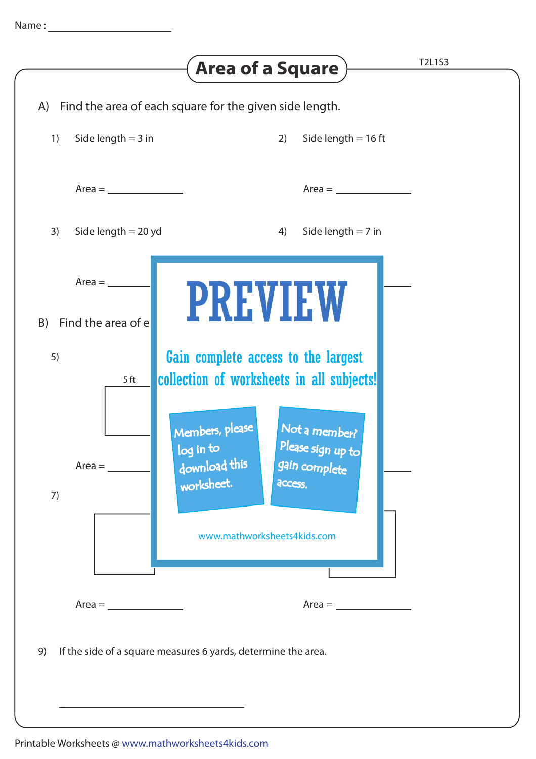